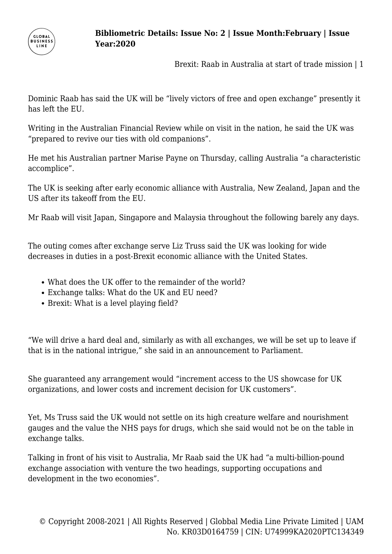

Brexit: Raab in Australia at start of trade mission | 1

Dominic Raab has said the UK will be "lively victors of free and open exchange" presently it has left the EU.

Writing in the Australian Financial Review while on visit in the nation, he said the UK was "prepared to revive our ties with old companions".

He met his Australian partner Marise Payne on Thursday, calling Australia "a characteristic accomplice".

The UK is seeking after early economic alliance with Australia, New Zealand, Japan and the US after its takeoff from the EU.

Mr Raab will visit Japan, Singapore and Malaysia throughout the following barely any days.

The outing comes after exchange serve Liz Truss said the UK was looking for wide decreases in duties in a post-Brexit economic alliance with the United States.

- What does the UK offer to the remainder of the world?
- Exchange talks: What do the UK and EU need?
- Brexit: What is a level playing field?

"We will drive a hard deal and, similarly as with all exchanges, we will be set up to leave if that is in the national intrigue," she said in an announcement to Parliament.

She guaranteed any arrangement would "increment access to the US showcase for UK organizations, and lower costs and increment decision for UK customers".

Yet, Ms Truss said the UK would not settle on its high creature welfare and nourishment gauges and the value the NHS pays for drugs, which she said would not be on the table in exchange talks.

Talking in front of his visit to Australia, Mr Raab said the UK had "a multi-billion-pound exchange association with venture the two headings, supporting occupations and development in the two economies".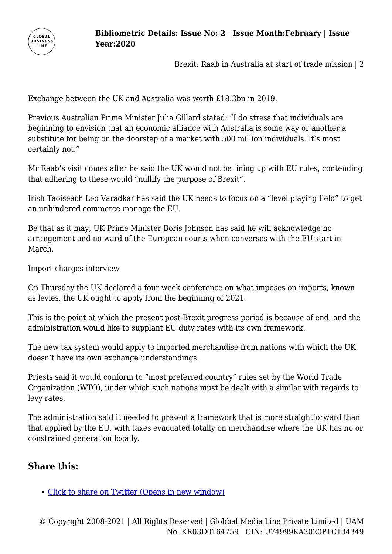

Brexit: Raab in Australia at start of trade mission | 2

Exchange between the UK and Australia was worth £18.3bn in 2019.

Previous Australian Prime Minister Julia Gillard stated: "I do stress that individuals are beginning to envision that an economic alliance with Australia is some way or another a substitute for being on the doorstep of a market with 500 million individuals. It's most certainly not."

Mr Raab's visit comes after he said the UK would not be lining up with EU rules, contending that adhering to these would "nullify the purpose of Brexit".

Irish Taoiseach Leo Varadkar has said the UK needs to focus on a "level playing field" to get an unhindered commerce manage the EU.

Be that as it may, UK Prime Minister Boris Johnson has said he will acknowledge no arrangement and no ward of the European courts when converses with the EU start in March.

Import charges interview

On Thursday the UK declared a four-week conference on what imposes on imports, known as levies, the UK ought to apply from the beginning of 2021.

This is the point at which the present post-Brexit progress period is because of end, and the administration would like to supplant EU duty rates with its own framework.

The new tax system would apply to imported merchandise from nations with which the UK doesn't have its own exchange understandings.

Priests said it would conform to "most preferred country" rules set by the World Trade Organization (WTO), under which such nations must be dealt with a similar with regards to levy rates.

The administration said it needed to present a framework that is more straightforward than that applied by the EU, with taxes evacuated totally on merchandise where the UK has no or constrained generation locally.

## **Share this:**

[Click to share on Twitter \(Opens in new window\)](https://www.businessline.global/brexit-raab-in-australia-at-start-of-trade-mission/market/?share=twitter)